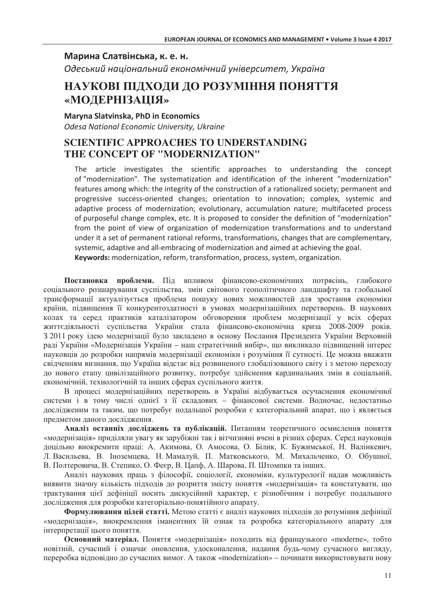## Марина Слатвінська, к. е. н.

Одеський національний економічний університет, Україна

# НАУКОВІ ПІДХОДИ ДО РОЗУМІННЯ ПОНЯТТЯ «МОДЕРНІЗАЦІЯ»

### Maryna Slatvinska, PhD in Economics

Odesa National Economic University, Ukraine

# **SCIENTIFIC APPROACHES TO UNDERSTANDING** THE CONCEPT OF "MODERNIZATION"

The article investigates the scientific approaches to understanding the concept of "modernization". The systematization and identification of the inherent "modernization" features among which: the integrity of the construction of a rationalized society; permanent and progressive success-oriented changes; orientation to innovation; complex, systemic and adaptive process of modernization; evolutionary, accumulation nature; multifaceted process of purposeful change complex, etc. It is proposed to consider the definition of "modernization" from the point of view of organization of modernization transformations and to understand under it a set of permanent rational reforms, transformations, changes that are complementary. systemic, adaptive and all-embracing of modernization and aimed at achieving the goal. Keywords: modernization, reform, transformation, process, system, organization.

Постановка проблеми. Під впливом фінансово-економічних потрясінь, глибокого соціального розшарування суспільства, змін світового геополітичного ландшафту та глобальної трансформації актуалізується проблема пошуку нових можливостей для зростання економіки країни, підвищення її конкурентоздатності в умовах модернізаційних перетворень. В наукових колах та серед практиків каталізатором обговорення проблем модернізації у всіх сферах життєдіяльності суспільства України стала фінансово-економічна криза 2008-2009 років. 3 2011 року ідею модернізації було закладено в основу Послання Президента України Верховній раді України «Модернізація України – наш стратегічний вибір», що викликало підвищений інтерес науковців до розробки напрямів модернізації економіки і розуміння її сутності. Це можна вважати свідченням визнання, що Україна відстає від розвиненого глобалізованого світу і з метою переходу до нового етапу цивілізаційного розвитку, потребує здійснення кардинальних змін в соціальній, економічній, технологічній та інших сферах суспільного життя.

В процесі модернізаційних перетворень в Україні відбувається осучаснення економічної системи і в тому числі однієї з її складових - фінансової системи. Водночас, недостатньо дослідженим та таким, що потребує подальшої розробки є категоріальний апарат, що і являється предметом даного дослідження.

Аналіз останніх досліджень та публікацій. Питанням теоретичного осмислення поняття «модернізація» приділяли увагу як зарубіжні так і вітчизняні вчені в різних сферах. Серед науковців доцільно виокремити праці: А. Акимова, О. Амосова, О. Білик, К. Бужимської, Н. Валінкевич, Л. Васильева, В. Іноземцева, Н. Мамалуй, П. Матковського, М. Михальченко, О. Обушної, В. Полтеровича, В. Степико, О. Феєр, В. Цапф, А. Шарова, П. Штомпки та інших.

Аналіз наукових праць з філософії, соціології, економіки, культурології надав можливість виявити значну кількість підходів до розриття змісту поняття «модернізація» та констатувати, що трактування цієї дефініції носить дискусійний характер, є різнобічним і потребує подальшого дослідження для розробки категоріально-понятійного апарату.

Формулювання цілей статті. Метою статті є аналіз наукових підходів до розуміння дефініції «модернізація», виокремлення іманентних їй ознак та розробка категоріального апарату для інтерпретації цього поняття.

Основний матеріал. Поняття «модернізація» походить від французького «moderne», тобто новітній, сучасний і означає оновлення, удосконалення, надання будь-чому сучасного вигляду, переробка відповідно до сучасних вимог. А також «modernization» – починати використовувати нову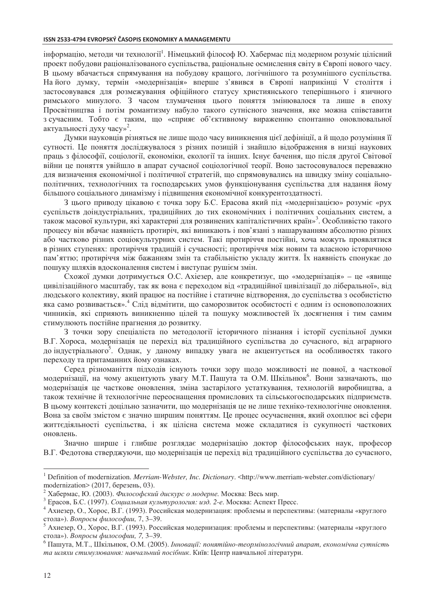інформацію, методи чи технології<sup>1</sup>. Німецький філософ Ю. Хабермас під модерном розуміє цілісний проект побудови раціоналізованого суспільства, раціональне осмислення світу в Європі нового часу. В цьому вбачається спрямування на побудову кращого, логічнішого та розумнішого суспільства. Найого думку, термін «модернізація» вперше з'явився в Європі наприкінці V століття і застосовувався для розмежування офіційного статусу християнського теперішнього і язичного римського минулого. З часом тлумачення цього поняття змінювалося та лише в епоху Просвітництва і потім романтизму набуло такого сутнісного значення, яке можна співставити з сучасним. Тобто є таким, що «сприяє об'єктивному вираженню спонтанно оновлювальної актуальності духу часу»<sup>2</sup>.

Думки науковців різняться не лише щодо часу виникнення цієї дефініції, а й щодо розуміння її сутності. Це поняття досліджувалося з різних позицій і знайшло відображення в низці наукових праць з філософії, соціології, економіки, екології та інших. Існує бачення, що після другої Світової війни це поняття увійшло в апарат сучасної соціологічної теорії. Воно застосовувалося переважно для визначення економічної і політичної стратегій, що спрямовувались на швидку зміну соціальнополітичних, технологічних та господарських умов функціонування суспільства для надання йому більшого соціального динамізму і підвищення економічної конкурентоздатності.

З цього приводу цікавою є точка зору Б.С. Ерасова який під «модернізацією» розуміє «рух суспільств доіндустріальних, традиційних до тих економічних і політичних соціальних систем, а також масової культури, які характерні для розвинених капіталістичних країн»<sup>3</sup>. Особливістю такого процесу він вбачає наявність протиріч, які виникають і пов'язані з нашаруванням абсолютно різних або частково різних соціокультурних систем. Такі протиріччя постійні, хоча можуть проявлятися в різних ступенях: протиріччя традицій і сучасності; протиріччя між новим та власною історичною пам'яттю; протиріччя між бажанням змін та стабільністю укладу життя. Їх наявність спонукає до пошуку шляхів вдосконалення систем і виступає рушієм змін.

Схожої думки дотримується О.С. Ахіезер, але конкретизує, що «модернізація» - це «явище цивілізаційного масштабу, так як вона є переходом від «традиційної цивілізації до ліберальної», від людського колективу, який працює на постійне і статичне відтворення, до суспільства з особистістю яка само розвивається». Слід відмітити, що саморозвиток особистості є одним із основоположних чинників, які сприяють виникненню цілей та пошуку можливостей їх досягнення і тим самим стимулюють постійне прагнення до розвитку.

З точки зору спеціаліста по методології історичного пізнання і історії суспільної думки В.Г. Хороса, модернізація це перехід від традиційного суспільства до сучасного, від аграрного до індустріального<sup>3</sup>. Однак, у даному випадку увага не акцентується на особливостях такого переходу та притаманних йому ознаках.

Серед різноманіття підходів існують точки зору щодо можливості не повної, а часткової модернізації, на чому акцентують увагу М.Т. Пашута та О.М. Шкільнюк<sup>6</sup>. Вони зазначають, що модернізація це часткове оновлення, зміна застарілого устаткування, технологій виробництва, а також технічне й технологічне переоснащення промислових та сільськогосподарських підприємств. В цьому контексті доцільно зазначити, що модернізація це не лише техніко-технологічне оновлення. Вона за своїм змістом є значно ширшим поняттям. Це процес осучаснення, який охоплює всі сфери життєдіяльності суспільства, і як цілісна система може складатися із сукупності часткових оновлень.

Значно ширше і глибше розглядає модернізацію доктор філософських наук, професор В.Г. Федотова стверджуючи, що модернізація це перехід від традиційного суспільства до сучасного,

<sup>&</sup>lt;sup>1</sup> Definition of modernization. *Merriam-Webster, Inc. Dictionary*. <http://www.merriam-webster.com/dictionary/ modernization> (2017, березень, 03).

Хабермас, Ю. (2003). Философский дискурс о модерне. Москва: Весь мир.

<sup>3</sup> Ерасов, Б.С. (1997). Социальная культурология: изд. 2-е. Москва: Аспект Пресс.

<sup>&</sup>lt;sup>4</sup> Ахиезер, О., Хорос, В.Г. (1993). Российская модернизация: проблемы и перспективы: (материалы «круглого стола»). Вопросы философии, 7, 3-39.

<sup>&</sup>lt;sup>5</sup> Ахиезер, О., Хорос, В.Г. (1993). Российская модернизация: проблемы и перспективы: (материалы «круглого стола»). Вопросы философии. 7.3-39.

<sup>&</sup>lt;sup>6</sup> Пашута, М.Т., Шкільнюк, О.М. (2005). Інновації: понятійно-теормінологічний апарат, економічна сутність та шляхи стимулювання: навчальний посібник. Київ: Центр навчальної літератури.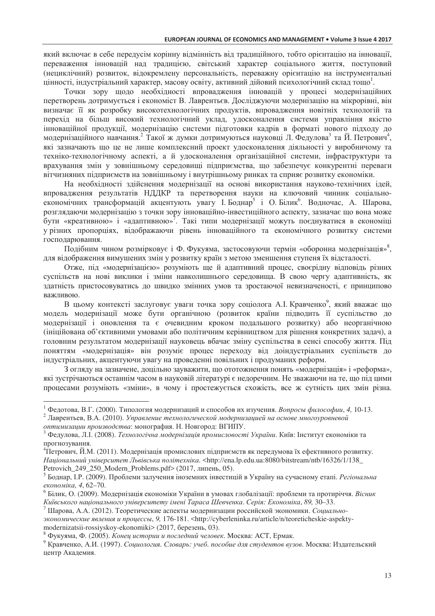який включає в себе передусім корінну відмінність від традиційного, тобто орієнтацію на інновації, переваження інновацій над традицією, світський характер соціального життя, поступовий (нециклічний) розвиток, відокремлену персональність, переважну орієнтацію на інструментальні цінності, індустріальний характер, масову освіту, активний дійовий психологічний склад тощо<sup>1</sup>.

Точки зору щодо необхідності впровадження інновацій у процесі модернізаційних перетворень дотримується і економіст В. Лаврентьєв. Досліджуючи модернізацію на мікрорівні, він визначає її як розробку високотехнологічних продуктів, впровадження новітніх технологій та перехід на більш високий технологічний уклад, удосконалення системи управління якістю інноваційної продукції, модернізацію системи підготовки кадрів в форматі нового підходу до модернізаційного навчання. Такої ж думки дотримуються науковці Л. Федулова<sup>з</sup> та Й. Петрович<sup>4</sup>, які зазначають що це не лише комплексний проект удосконалення діяльності у виробничому та техніко-технологічному аспекті, а й удосконалення організаційної системи, інфраструктури та врахування змін у зовнішньому середовищі підприємства, що забезпечує конкурентні переваги вітчизняних підприємств на зовнішньому і внутрішньому ринках та сприяє розвитку економіки.

На необхідності здійснення модернізації на основі використання науково-технічних ідей, впровадження результатів НДДКР та перетворення науки на ключовий чинник соціальноекономічних трансформацій акцентують увагу І. Боднар<sup>5</sup> і О. Білик<sup>6</sup>. Водночас, А. Шарова, розглядаючи модернізацію з точки зору інноваційно-інвестиційного аспекту, зазначає що вона може бути «креативною» і «адаптивною»<sup>7</sup>. Такі типи модернізації можуть поєднуватися в економіці у різних пропорціях, відображаючи рівень інноваційного та економічного розвитку системи господарювання.

Подібним чином розмірковує і Ф. Фукуяма, застосовуючи термін «оборонна модернізація»<sup>8</sup>, для відображення вимушених змін у розвитку країн з метою зменшення ступеня їх відсталості.

Отже, під «модернізацією» розуміють ще й адаптивний процес, своєрідну відповідь різних суспільств на нові виклики і зміни навколишнього середовища. В свою чергу адаптивність, як здатність пристосовуватись до швидко змінних умов та зростаючої невизначеності, є принципово важливою.

В цьому контексті заслуговує уваги точка зору соціолога А.І. Кравченко<sup>9</sup>, який вважає що модель модернізації може бути органічною (розвиток країни підводить її суспільство до модернізації і оновлення та є очевидним кроком подальшого розвитку) або неорганічною (ініційована об'єктивними умовами або політичним керівництвом для рішення конкретних задач), а головним результатом модернізації науковець вбачає зміну суспільства в сенсі способу життя. Під поняттям «модернізація» він розуміє процес переходу від доіндустріальних суспільств до індустріальних, акцентуючи увагу на проведенні повільних і продуманих реформ.

З огляду на зазначене, доцільно зауважити, що ототожнення понять «модернізація» і «реформа», які зустрічаються останнім часом в науковій літературі є недоречним. Не зважаючи на те, що під цими процесами розуміють «зміни», в чому і простежується схожість, все ж сутність цих змін різна.

<sup>2</sup> Лаврентьев, В.А. (2010). Управление технологической модернизацией на основе многоуровневой

<sup>4</sup>Петрович, Й.М. (2011). Модернізація промислових підприємств як передумова їх ефективного розвитку. Національний університет Львівська політехніка. <http://ena.lp.edu.ua:8080/bitstream/ntb/16326/1/138\_ Petrovich 249 250 Modern Problems.pdf> (2017, липень, 05).

<sup>&</sup>lt;sup>1</sup> Федотова, В.Г. (2000). Типология модернизаций и способов их изучения. Вопросы философии, 4, 10-13.

оптимизации производства: монография. Н. Новгород: ВГИПУ.

<sup>&</sup>lt;sup>3</sup> Федулова, Л.І. (2008). *Технологічна модернізація промисловості України*. Київ: Інститут економіки та прогнозування.

<sup>&</sup>lt;sup>5</sup> Боднар, I.P. (2009). Проблеми залучення іноземних інвестицій в Україну на сучасному етапі. *Регіональна* економіка, 4, 62-70.

 $^6$  Білик, О. (2009). Модернізація економіки України в умовах глобалізації: проблеми та протиріччя. *Вісник* Київського національного університету імені Тараса Шевченка. Серія: Економіка, 89, 30-33.

 $^7$  Шарова, А.А. (2012). Теоретические аспекты модернизации российской экономики. Социальноэкономические явления и процессы, 9, 176-181. <http://cyberleninka.ru/article/n/teoreticheskie-aspektymodernizatsii-rossiyskov-ekonomiki> (2017, березень, 03).

 $8\,$ Фукуяма, Ф. (2005). Конец истории и последний человек. Москва: АСТ, Ермак.

<sup>&</sup>lt;sup>9</sup> Кравченко, А.И. (1997). Социология. Словарь: учеб. пособие для студентов вузов. Москва: Издательский центр Академия.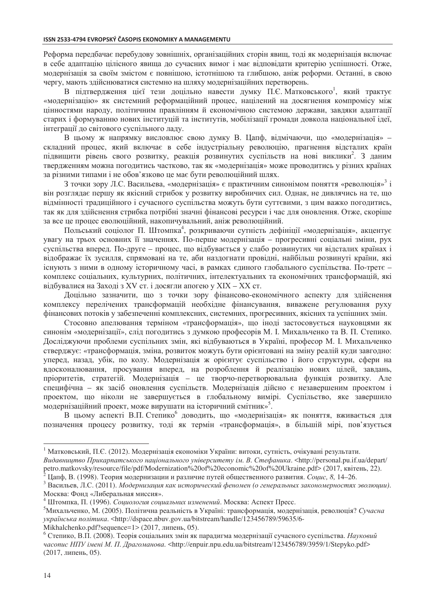Реформа передбачає перебудову зовнішніх, організаційних сторін явищ, тоді як модернізація включає в себе адаптацію цілісного явища до сучасних вимог і має відповідати критерію успішності. Отже, модернізація за своїм змістом є повнішою, істотнішою та глибшою, аніж реформи. Останні, в свою чергу, мають здійснюватися системно на шляху модернізаційних перетворень.

В підтвердження цієї тези доцільно навести думку П.Є. Матковського<sup>1</sup>, який трактує «модернізацію» як системний реформаційний процес, націлений на лосягнення компромісу між цінностями народу, політичним правлінням й економічною системою держави, завдяки адаптації старих і формуванню нових інституцій та інститутів, мобілізації громади довкола національної ідеї, інтеграції до світового суспільного ладу.

В цьому ж напрямку висловлює свою думку В. Цапф, відмічаючи, що «модернізація» складний процес, який включає в себе індустріальну революцію, прагнення відсталих країн підвищити рівень свого розвитку, реакція розвинутих суспільств на нові виклики<sup>2</sup>. З даним твердженням можна погодитись частково, так як «модернізація» може проводитись у різних країнах за різними типами і не обов'язково це має бути революційний шлях.

З точки зору Л.С. Васильева, «модернізація» є практичним синонімом поняття «революція»<sup>3</sup> і він розглядає першу як якісний стрибок у розвитку виробничих сил. Однак, не дивлячись на те, що відмінності традиційного і сучасного суспільства можуть бути суттєвими, з цим важко погодитись, так як для здійснення стрибка потрібні значні фінансові ресурси і час для оновлення. Отже, скоріше за все це процес еволюційний, накопичувальний, аніж революційний.

Польський соціолог П. Штомпка<sup>4</sup>, розкриваючи сутність дефініції «модернізація», акцентує увагу на трьох основних її значеннях. По-перше модернізація - прогресивні соціальні зміни, рух суспільства вперед. По-друге – процес, що відбувається у слабо розвинутих чи відсталих країнах і відображає їх зусилля, спрямовані на те, аби наздогнати провідні, найбільш розвинуті країни, які існують з ними в одному історичному часі, в рамках єдиного глобального суспільства. По-третє комплекс соціальних, культурних, політичних, інтелектуальних та економічних трансформацій, які відбувалися на Заході з XV ст. і досягли апогею у XIX - XX ст.

Доцільно зазначити, що з точки зору фінансово-економічного аспекту для здійснення комплексу перелічених трансформацій необхідне фінансування, виважене регулювання руху фінансових потоків у забезпеченні комплексних, системних, прогресивних, якісних та успішних змін.

Стосовно апелювання терміном «трансформація», що іноді застосовується науковцями як синонім «модернізації», слід погодитись з думкою професорів М. І. Михальченко та В. П. Степико. Досліджуючи проблеми суспільних змін, які відбуваються в Україні, професор М. І. Михальченко стверджує: «трансформація, зміна, розвиток можуть бути орієнтовані на зміну реалій куди завгодно: уперед, назад, убік, по колу. Модернізація ж орієнтує суспільство і його структури, сфери на вдосконалювання, просування вперед, на розроблення й реалізацію нових цілей, завдань, пріоритетів, стратегій. Модернізація - це творчо-перетворювальна функція розвитку. Але специфічна - як засіб оновлення суспільств. Модернізація дійсно є незавершеним проектом і проектом, що ніколи не завершується в глобальному вимірі. Суспільство, яке завершило модернізаційний проект, може вирушати на історичний смітник»<sup>5</sup>.

В цьому аспекті В.П. Степико<sup>6</sup> доводить, що «модернізація» як поняття, вживається для позначення процесу розвитку, тоді як термін «трансформація», в більшій мірі, пов'язується

Цапф, В. (1998). Теория модернизации и различие путей общественного развития. Социс, 8, 14-26.

Mikhalchenko.pdf?sequence=1> (2017, липень, 05).

<sup>&</sup>lt;sup>1</sup> Матковський, П.Є. (2012). Модернізація економіки України: витоки, сутність, очікувані результати. Видавництво Прикарпатського національного університету ім. В. Стефаника. <http://personal.pu.if.ua/depart/ petro.matkovsky/resource/file/pdf/Modernization%20of%20economic%20of%20Ukraine.pdf> (2017, квітень, 22).

<sup>&</sup>lt;sup>3</sup> Васильев, Л.С. (2011). Модернизация как исторический феномен (о генеральных закономерностях эволюции). Москва: Фонд «Либеральная миссия».

<sup>&</sup>lt;sup>4</sup> Штомпка, П. (1996). *Социология социальних изменений*. Москва: Аспект Пресс.

<sup>&</sup>lt;sup>5</sup>Михальченко, М. (2005). Політична реальність в Україні: трансформація, модернізація, революція? Сучасна українська політика. <http://dspace.nbuv.gov.ua/bitstream/handle/123456789/59635/6-

 $6$  Степико, В.П. (2008). Теорія соціальних змін як парадигма модернізації сучасного суспільства. Науковий часопис НПУ імені М. П. Драгоманова. <http://enpuir.npu.edu.ua/bitstream/123456789/3959/1/Stepyko.pdf> (2017, липень, 05).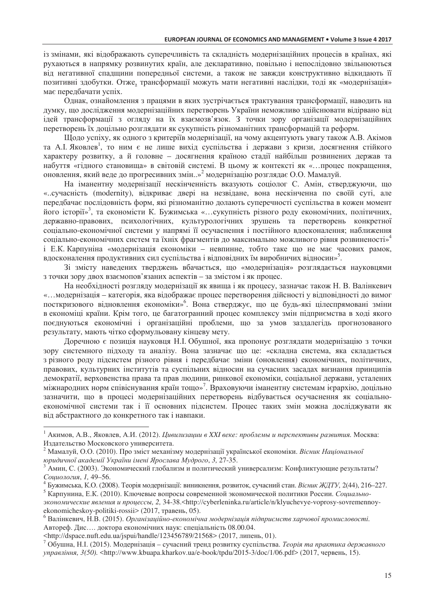із змінами, які відображають суперечливість та складність модернізаційних процесів в країнах, які рухаються в напрямку розвинутих країн, але декларативно, повільно і непослідовно звільнюються від негативної спадщини попередньої системи, а також не завжди конструктивно відкидають її позитивні здобутки. Отже, трансформації можуть мати негативні наслідки, тоді як «модернізація» має передбачати успіх.

Олнак, ознайомлення з працями в яких зустрічається трактування трансформації, наводить на думку, що дослідження модернізаційних перетворень України неможливо здійснювати відірвано від ідей трансформації з огляду на їх взаємозв'язок. З точки зору організації модернізаційних перетворень їх доцільно розглядати як сукупність різноманітних трансформацій та реформ.

Щодо успіху, як одного з критеріїв модернізації, на чому акцентують увагу також А.В. Акімов та А.І. Яковлев<sup>1</sup>, то ним є не лише вихід суспільства і держави з кризи, досягнення стійкого характеру розвитку, а й головне - досягнення країною стадії найбільш розвинених держав та набуття «гідного становища» в світовій системі. В цьому ж контексті як «... процес покращення, оновлення, який веде до прогресивних змін..»<sup>2</sup> модернізацію розглядає О.О. Мамалуй.

На іманентну модернізації нескінченність вказують соціолог С. Амін, стверджуючи, що «..сучасність (modernity), відкриває двері на незвідане, вона нескінченна по своїй суті, але передбачає послідовність форм, які різноманітно долають суперечності суспільства в кожен момент його історії»<sup>3</sup>, та економісти К. Бужимська «...сукупність різного роду економічних, політичних, державно-правових, психологічних, культурологічних зрушень та перетворень конкретної соціально-економічної системи у напрямі її осучаснення і постійного вдосконалення; наближення соціально-економічних систем та їхніх фрагментів до максимально можливого рівня розвиненості»<sup>4</sup> і Е.К. Карпуніна «модернізація економіки - невпинне, тобто таке що не має часових рамок, вдосконалення продуктивних сил суспільства і відповідних їм виробничих відносин»<sup>5</sup>.

Зі змісту наведених тверджень вбачається, що «модернізація» розглядається науковцями з точки зору двох взаємопов'язаних аспектів - за змістом і як процес.

На необхідності розгляду модернізації як явища і як процесу, зазначає також Н. В. Валінкевич «...модернізація – категорія, яка відображає процес перетворення дійсності у відповідності до вимог посткризового відновлення економіки»<sup>6</sup>. Вона стверджує, що це будь-які цілеспрямовані зміни в економіці країни. Крім того, це багатогранний процес комплексу змін підприємства в ході якого поєднуються економічні і організаційні проблеми, що за умов заздалегідь прогнозованого результату, мають чітко сформульовану кінцеву мету.

Доречною є позиція науковця Н.І. Обушної, яка пропонує розглядати модернізацію з точки зору системного підходу та аналізу. Вона зазначає що це: «складна система, яка складається з різного роду підсистем різного рівня і передбачає зміни (оновлення) економічних, політичних, правових, культурних інститутів та суспільних відносин на сучасних засадах визнання принципів демократії, верховенства права та прав людини, ринкової економіки, соціальної держави, усталених міжнародних норм співіснування країн тощо»<sup>7</sup>. Враховуючи іманентну системам ієрархію, доцільно зазначити, що в процесі модернізаційних перетворень відбувається осучаснення як соціальноекономічної системи так і її основних підсистем. Процес таких змін можна досліджувати як від абстрактного до конкретного так і навпаки.

<sup>&</sup>lt;sup>1</sup> Акимов, А.В., Яковлев, А.И. (2012). Цивилизации в XXI веке: проблемы и перспективы развития. Москва: Издательство Московского университета.

<sup>&</sup>lt;sup>2</sup> Мамалуй, О.О. (2010). Про зміст механізму модернізації української економіки. Вісник Національної юридичної академії України імені Ярослава Мудрого, 3, 27-35.

Амин, С. (2003). Экономический глобализм и политический универсализм: Конфликтующие результаты? Социология, 1, 49-56.

<sup>,&</sup>lt;br>Вужимська, К.О. (2008). Теорія модернізації: виникнення, розвиток, сучасний стан. *Вісник ЖДТУ*, 2(44), 216–227.

<sup>&</sup>lt;sup>5</sup> Карпунина, Е.К. (2010). Ключевые вопросы современной экономической политики России. Социальноэкономические явления и процессы, 2, 34-38.<http://cyberleninka.ru/article/n/klyuchevye-voprosy-sovremennoyekonomicheskoy-politiki-rossii> (2017, травень, 05).

 $^6$  Валінкевич, Н.В. (2015). Організаційно-економічна модернізація підприємств харчової промисловості. Автореф. Дис.... доктора економічних наук: спеціальність 08.00.04.

<sup>&</sup>lt;http://dspace.nuft.edu.ua/jspui/handle/123456789/21568>(2017, липень, 01).

<sup>&</sup>lt;sup>7</sup> Обушна, Н.І. (2015). Модернізація – сучасний тренд розвитку суспільства. Теорія та практика державного управління, 3(50). <http://www.kbuapa.kharkov.ua/e-book/tpdu/2015-3/doc/1/06.pdf> (2017, червень, 15).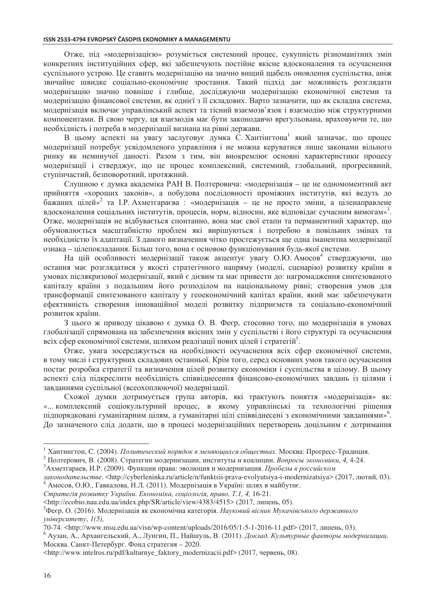Отже, під «модернізацією» розуміється системний процес, сукупність різноманітних змін конкретних інституційних сфер, які забезпечують постійне якісне вдосконалення та осучаснення суспільного устрою. Це ставить модернізацію на значно вищий щабель оновлення суспільства, аніж звичайне швидке соціально-економічне зростання. Такий підхід дає можливість розглядати модернізацію значно повніше і глибше, досліджуючи модернізацію економічної системи та модернізацію фінансової системи, як однієї з її складових. Варто зазначити, що як складна система, модернізація включає управлінський аспект та тісний взаємозв'язок і взаємодію між структурними компонентами. В свою чергу, ця взаємодія має бути законодавчо врегульована, враховуючи те, що необхідність і потреба в модернізації визнана на рівні держави.

В цьому аспекті на увагу заслуговує думка С. Хантінгтона<sup>1</sup> який зазначає, що процес модернізації потребує усвідомленого управління і не можна керуватися лише законами вільного ринку як неминучої даності. Разом з тим, він виокремлює основні характеристики процесу модернізації і стверджує, що це процес комплексний, системний, глобальний, прогресивний, ступінчастий, безповоротний, протяжний.

Слушною є думка академіка РАН В. Полтеровича: «модернізація - це не одномоментний акт прийняття «хороших законів», а побудова послідовності проміжних інститутів, які ведуть до бажаних цілей»<sup>2</sup> та І.Р. Ахметгараєва: «модернізація – це не просто зміни, а ціленаправлене вдосконалення соціальних інститутів, процесів, норм, відносин, яке відповідає сучасним вимогам»<sup>3</sup>. Отже, модернізація не відбувається спонтанно, вона має свої етапи та перманентний характер, що обумовлюється масштабністю проблем які вирішуються і потребою в повільних змінах та необхідністю їх адаптації. З даного визначення чітко простежується ще одна іманентна модернізації ознака - цілепокладання. Більш того, вона є основою функціонування будь-якої системи.

На цій особливості модернізації також акцентує увагу О.Ю. Амосов<sup>4</sup> стверджуючи, що остання має розглядатися у якості стратегічного напряму (моделі, сценарію) розвитку країни в умовах післякризової модернізації, який є дієвим та має привести до: нагромадження синтезованого капіталу країни з подальшим його розподілом на національному рівні; створення умов для трансформації синтезованого капіталу у геоекономічний капітал країни, який має забезпечувати ефективність створення інноваційної моделі розвитку підприємств та соціально-економічний розвиток країни.

З цього ж приводу цікавою є думка О. В. Феєр, стосовно того, що модернізація в умовах глобалізації спрямована на забезпечення якісних змін у суспільстві і його структурі та осучаснення всіх сфер економічної системи, шляхом реалізації нових цілей і стратегій<sup>5</sup>.

Отже, увага зосереджується на необхідності осучаснення всіх сфер економічної системи, в тому числі і структурних складових останньої. Крім того, серед основних умов такого осучаснення постає розробка стратегії та визначення цілей розвитку економіки і суспільства в цілому. В цьому аспекті слід підкреслити необхідність співвіднесення фінансово-економічних завдань із цілями і завданнями суспільної (всеохоплюючої) модернізації.

Схожої думки дотримується група авторів, які трактують поняття «модернізація» як: «... комплексний соціокультурний процес, в якому управлінські та технологічні рішення підпорядковані гуманітарним цілям, а гуманітарні цілі співвіднесені з економічними завданнями»<sup>6</sup>. До зазначеного слід додати, що в процесі модернізаційних перетворень доцільним є дотримання

Стратегія розвитку України. Економіка, соціологія, право. Т.1, 4, 16-21.

<sup>&</sup>lt;sup>1</sup> Хантингтон, С. (2004). Политический порядок в меняющихся обществах. Москва: Прогресс-Традиция.

<sup>&</sup>lt;sup>2</sup> Полтерович, В. (2008). Стратегии модернизации, институты и коалиции. Вопросы экономики, 4, 4-24.

<sup>&</sup>lt;sup>3</sup> Ахметгараев, И.Р. (2009). Функции права: эволюция и модернизация. Пробелы в российском

законодательстве. <http://cyberleninka.ru/article/n/funktsii-prava-evolyutsiya-i-modernizatsiya> (2017, лютий, 03). <sup>4</sup> Амосов, О.Ю., Гавкалова, Н.Л. (2011). Модернізація в Україні: шлях в майбутнє.

<sup>&</sup>lt;http://ecobio.nau.edu.ua/index.php/SR/article/view/4383/4515> (2017, липень, 05).

<sup>&</sup>lt;sup>5</sup>Феєр, О. (2016). Модернізація як економічна категорія. Науковий вісник Мукачівського державного  $v$ ніверситету,  $1(5)$ ,

<sup>70-74. &</sup>lt;http://www.msu.edu.ua/visn/wp-content/uploads/2016/05/1-5-1-2016-11.pdf> (2017, липень, 03).

<sup>6</sup> Аузан, А., Архангельский, А., Лунгин, П., Найшуль, В. (2011). Доклад. Культурные факторы модернизации. Москва. Санкт-Петербург. Фонд стратегия - 2020.

<sup>&</sup>lt;http://www.intelros.ru/pdf/kulturnye\_faktory\_modernizacii.pdf> (2017, червень, 08).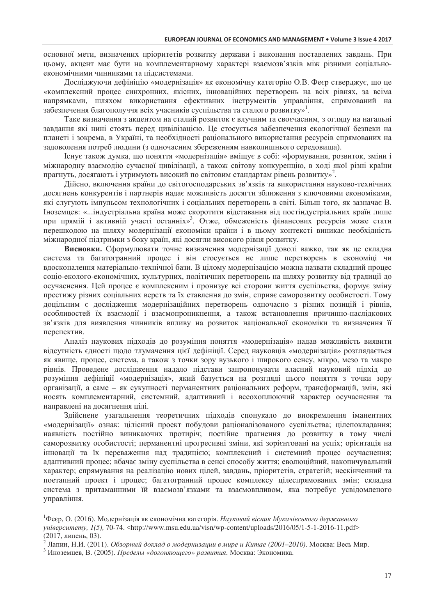основної мети, визначених пріоритетів розвитку держави і виконання поставлених завдань. При цьому, акцент має бути на комплементарному характері взаємозв'язків між різними соціальноекономічними чинниками та підсистемами.

Досліджуючи дефініцію «модернізація» як економічну категорію О.В. Феєр стверджує, що це «комплексний процес синхронних, якісних, інноваційних перетворень на всіх рівнях, за всіма напрямками, шляхом використання ефективних інструментів управління, спрямований на забезпечення благополуччя всіх учасників суспільства та сталого розвитку»<sup>1</sup>.

Таке визначення з акцентом на сталий розвиток є влучним та своєчасним, з огляду на нагальні завдання які нині стоять перед цивілізацією. Це стосується забезпечення екологічної безпеки на планеті і зокрема, в Україні, та необхідності раціонального використання ресурсів спрямованих на задоволення потреб людини (з одночасним збереженням навколишнього середовища).

Існує також думка, що поняття «модернізація» вміщує в собі: «формування, розвиток, зміни і міжнародну взаємодію сучасної цивілізації, а також світову конкуренцію, в ході якої різні країни прагнуть, лосягають і утримують високий по світовим станлартам рівень розвитку»<sup>2</sup>.

Дійсно, включення країни до світогосподарських зв'язків та використання науково-технічних досягнень конкурентів і партнерів надає можливість досягти зближення з ключовими економіками, які слугують імпульсом технологічних і соціальних перетворень в світі. Більш того, як зазначає В. Іноземцев: «... індустріальна країна може скоротити відставання від постіндустріальних країн лише при прямій і активній участі останніх»<sup>3</sup>. Отже, обмеженість фінансових ресурсів може стати перешкодою на шляху модернізації економіки країни і в цьому контексті виникає необхідність міжнародної підтримки з боку країн, які досягли високого рівня розвитку.

Висновки. Сформулювати точне визначення модернізації доволі важко, так як це складна система та багатогранний процес і він стосується не лише перетворень в економіці чи вдосконалення матеріально-технічної бази. В цілому модернізацією можна назвати складний процес соціо-еколого-економічних, культурних, політичних перетворень на шляху розвитку від традиції до осучаснення. Цей процес є комплексним і пронизує всі сторони життя суспільства, формує зміну престижу різних соціальних верств та їх ставлення до змін, сприяє саморозвитку особистості. Тому доцільним є дослідження модернізаційних перетворень одночасно з різних позицій і рівнів, особливостей їх взаємодії і взаємопроникнення, а також встановлення причинно-наслідкових зв'язків для виявлення чинників впливу на розвиток національної економіки та визначення її перспектив.

Аналіз наукових підходів до розуміння поняття «модернізація» надав можливість виявити відсутність єдності щодо тлумачення цієї дефініції. Серед науковців «модернізація» розглядається як явище, процес, система, а також з точки зору вузького і широкого сенсу, мікро, мезо та макро рівнів. Проведене дослідження надало підстави запропонувати власний науковий підхід до розуміння дефініції «модернізація», який базується на розгляді цього поняття з точки зору організації, а саме - як сукупності перманентних раціональних реформ, трансформацій, змін, які носять комплементарний, системний, адаптивний і всеохоплюючий характер осучаснення та направлені на досягнення цілі.

Здійснене узагальнення теоретичних підходів спонукало до виокремлення іманентних «модернізації» ознак: цілісний проект побудови раціоналізованого суспільства; цілепокладання; наявність постійно виникаючих протиріч; постійне прагнення до розвитку в тому числі саморозвитку особистості; перманентні прогресивні зміни, які зорієнтовані на успіх; орієнтація на інновації та їх переваження над традицією; комплексний і системний процес осучаснення; адаптивний процес; вбачає зміну суспільства в сенсі способу життя; еволюційний, накопичувальний характер; спрямування на реалізацію нових цілей, завдань, пріоритетів, стратегій; нескінченний та поетапний проект і процес; багатогранний процес комплексу цілеспрямованих змін; складна система з притаманними їй взаємозв'язками та взаємовпливом, яка потребує усвідомленого управління.

<sup>&</sup>lt;sup>1</sup>Феєр, О. (2016). Модернізація як економічна категорія. Науковий вісник Мукачівського державного  $vHieecumemy$ ,  $I(5)$ , 70-74. <http://www.msu.edu.ua/visn/wp-content/uploads/2016/05/1-5-1-2016-11.pdf> (2017, липень, 03).

<sup>&</sup>lt;sup>2</sup> Лапин, Н.И. (2011). *Обзорный доклад о модернизации в мире и Китае (2001–2010)*. Москва: Весь Мир.

<sup>&</sup>lt;sup>3</sup> Иноземцев, В. (2005). Пределы «догоняющего» развития. Москва: Экономика.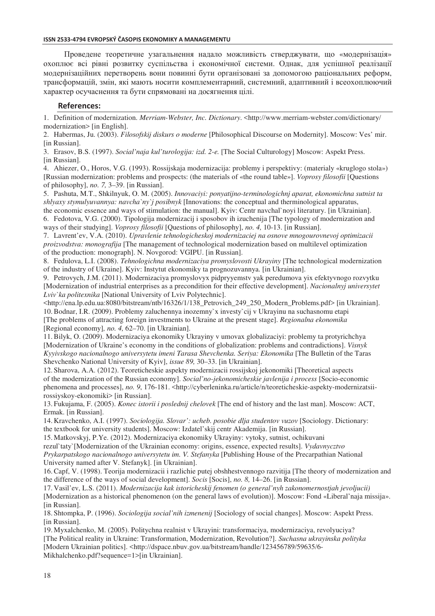### ISSN 2533-4794 EVROPSKÝ ČASOPIS EKONOMIKY A MANAGEMENTU

Проведене теоретичне узагальнення надало можливість стверджувати, що «модернізація» охоплює всі рівні розвитку суспільства і економічної системи. Однак, для успішної реалізації модернізаційних перетворень вони повинні бути організовані за допомогою раціональних реформ, трансформацій, змін, які мають носити комплементарний, системний, адаптивний і всеохоплюючий характер осучаснення та бути спрямовані на досягнення цілі.

### **References:**

1. Definition of modernization. Merriam-Webster, Inc. Dictionary. <http://www.merriam-webster.com/dictionary/ modernization> [in English].

2. Habermas, Ju. (2003). Filosofskij diskurs o moderne [Philosophical Discourse on Modernity]. Moscow: Ves' mir. [in Russian].

3. Erasov, B.S. (1997). Social'naja kul'turologija: izd. 2-e. [The Social Culturology] Moscow: Aspekt Press. [in Russian].

4. Ahiezer, O., Horos, V.G. (1993). Rossijskaja modernizacija: problemy i perspektivy: (materialy «kruglogo stola») [Russian modernization: problems and prospects: (the materials of «the round table»]. Voprosy filosofii [Questions of philosophy], no. 7, 3-39. [in Russian].

5. Pashuta, M.T., Shkilnyuk, O. M. (2005). Innovacivi: ponyatijno-terminologichnj aparat, ekonomichna sutnist ta shlyaxy stymulyuvannya: navcha`ny`j posibnyk [Innovations: the conceptual and therminological apparatus,

the economic essence and ways of stimulation: the manual]. Kyiv: Centr navchal`noyi literatury. [in Ukrainian]. 6. Fedotova, V.G. (2000). Tipologija modernizacij i sposobov ih izuchenija [The typology of modernization and ways of their studying]. Voprosy filosofii [Questions of philosophy], no. 4, 10-13. [in Russian].

7. Lavrent'ev, V.A. (2010). Upravlenie tehnologicheskoj modernizaciej na osnove mnogourovnevoj optimizacii proizvodstva: monografija [The management of technological modernization based on multilevel optimization of the production: monograph]. N. Novgorod: VGIPU. [in Russian].

8. Fedulova, L.I. (2008). Tehnologichna modernizaciva promyslovosti Ukrayiny [The technological modernization of the industry of Ukrainel. Kviv: Instytut ekonomiky ta prognozuvannya. [in Ukrainian].

9. Petrovych, J.M. (2011). Modernizaciya promyslovyx pidpryyemsty yak peredumova yix efektyvnogo rozvytku [Modernization of industrial enterprises as a precondition for their effective development]. Nacionalnyj universytet Lviv`ka politexnika [National University of Lviv Polytechnic].

<http://ena.lp.edu.ua:8080/bitstream/ntb/16326/1/138 Petrovich 249 250 Modern Problems.pdf> [in Ukrainian]. 10. Bodnar, I.R. (2009). Problemy zaluchennya inozemny'x investy'cij v Ukrayinu na suchasnomu etapi [The problems of attracting foreign investments to Ukraine at the present stage]. Regionalna ekonomika [Regional economy], no. 4, 62–70. [in Ukrainian].

11. Bilyk, O. (2009). Modernizaciya ekonomiky Ukrayiny v umovax globalizaciyi: problemy ta protyrichchya [Modernization of Ukraine's economy in the conditions of globalization: problems and contradictions]. *Visnyk* Kyyivskogo nacionalnogo universytetu imeni Tarasa Shevchenka. Seriya: Ekonomika [The Bulletin of the Taras Shevchenko National University of Kyiv], issue 89, 30–33. [in Ukrainian].

12. Sharova, A.A. (2012). Teoreticheskie aspekty modernizacii rossijskoj jekonomiki [Theoretical aspects] of the modernization of the Russian economy]. Social'no-jekonomicheskie javlenija i process [Socio-economic phenomena and processes], no. 9, 176-181. <http://cyberleninka.ru/article/n/teoreticheskie-aspekty-modernizatsiirossiyskoy-ekonomiki> [in Russian].

13. Fukujama, F. (2005). Konec istorii i poslednij chelovek [The end of history and the last man]. Moscow: ACT, Ermak. [in Russian].

14. Kravchenko, A.I. (1997). Sociologija. Slovar': ucheb. posobie dlia studentov vuzov [Sociology. Dictionary: the textbook for university students]. Moscow: Izdatel'skii centr Akademiia. [in Russian].

15. Matkovskyj, P.Ye. (2012). Modernizaciya ekonomiky Ukrayiny: vytoky, sutnist, ochikuvani

rezul'taty'[Modernization of the Ukrainian economy: origins, essence, expected results]. Vydavnycztvo Prykarpatskogo nacionalnogo universytetu im. V. Stefanyka [Publishing House of the Precarpathian National University named after V. Stefanyk]. [in Ukrainian].

16. Capf, V. (1998). Teorija modernizacii i razlichie putej obshhestvennogo razvitija [The theory of modernization and the difference of the ways of social development]. Socis [Socis], no. 8, 14–26. [in Russian].

17. Vasil'ev, L.S. (2011). Modernizacija kak istoricheskij fenomen (o general'nyh zakonomernostjah jevoljucii) [Modernization as a historical phenomenon (on the general laws of evolution)]. Moscow: Fond «Liberal'naia missiia». [in Russian].

18. Shtompka, P. (1996). Sociologija social'nih izmenenij [Sociology of social changes]. Moscow: Aspekt Press. [in Russian].

19. Myxalchenko, M. (2005). Politychna realnist v Ukrayini: transformaciya, modernizaciya, revolyuciya? [The Political reality in Ukraine: Transformation, Modernization, Revolution?]. Suchasna ukrayinska polityka [Modern Ukrainian politics]. <http://dspace.nbuv.gov.ua/bitstream/handle/123456789/59635/6-Mikhalchenko.pdf?sequence=1>[in Ukrainian].